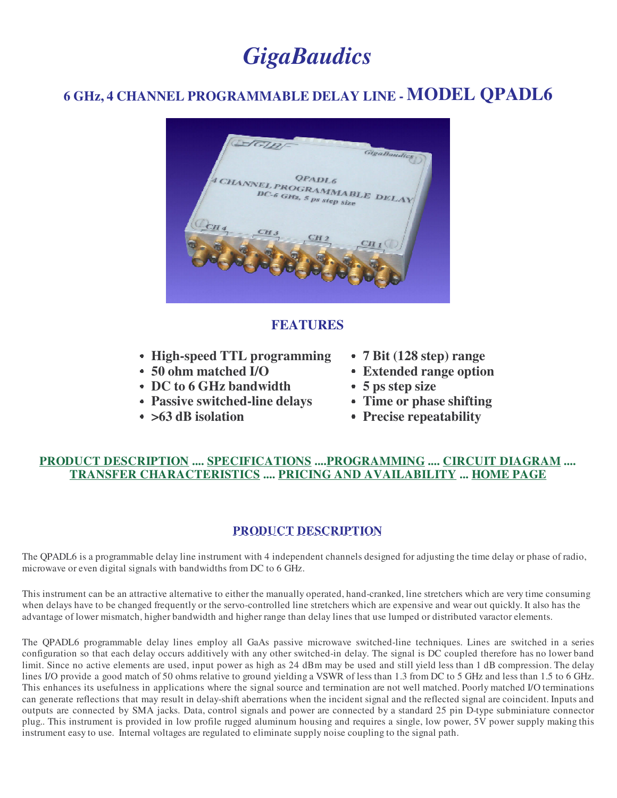# *GigaBaudics*

# **6 GHz, 4 CHANNEL PROGRAMMABLE DELAY LINE - MODEL QPADL6**



## **FEATURES**

- **High-speed TTL programming**
- **50 ohm matched I/O**
- **DC to 6 GHz bandwidth**
- **Passive switched-line delays**
- **>63 dB isolation**
- **7 Bit (128 step) range**
- **Extended range option**
- **5 ps step size**
- **Time or phase shifting**
- **Precise repeatability**

## **PRODUCT DESCRIPTION .... SPECIFICATIONS ....PROGRAMMING .... CIRCUIT DIAGRAM .... TRANSFER CHARACTERISTICS .... PRICING AND AVAILABILITY ... HOME PAGE**

## **PRODUCT DESCRIPTION**

The QPADL6 is a programmable delay line instrument with 4 independent channels designed for adjusting the time delay or phase of radio, microwave or even digital signals with bandwidths from DC to 6 GHz.

This instrument can be an attractive alternative to either the manually operated, hand-cranked, line stretchers which are very time consuming when delays have to be changed frequently or the servo-controlled line stretchers which are expensive and wear out quickly. It also has the advantage of lower mismatch, higher bandwidth and higher range than delay lines that use lumped or distributed varactor elements.

The QPADL6 programmable delay lines employ all GaAs passive microwave switched-line techniques. Lines are switched in a series configuration so that each delay occurs additively with any other switched-in delay. The signal is DC coupled therefore has no lower band limit. Since no active elements are used, input power as high as 24 dBm may be used and still yield less than 1 dB compression. The delay lines I/O provide a good match of 50 ohms relative to ground yielding a VSWR of less than 1.3 from DC to 5 GHz and less than 1.5 to 6 GHz. This enhances its usefulness in applications where the signal source and termination are not well matched. Poorly matched I/O terminations can generate reflections that may result in delay-shift aberrations when the incident signal and the reflected signal are coincident. Inputs and outputs are connected by SMA jacks. Data, control signals and power are connected by a standard 25 pin D-type subminiature connector plug.. This instrument is provided in low profile rugged aluminum housing and requires a single, low power, 5V power supply making this instrument easy to use. Internal voltages are regulated to eliminate supply noise coupling to the signal path.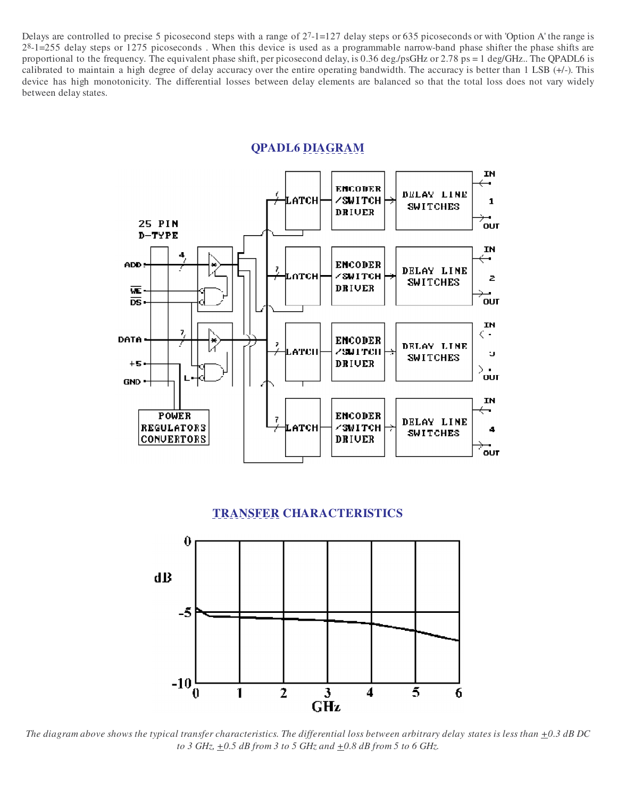Delays are controlled to precise 5 picosecond steps with a range of 27-1=127 delay steps or 635 picoseconds or with 'Option A' the range is  $2<sup>8</sup>$ -1=255 delay steps or 1275 picoseconds. When this device is used as a programmable narrow-band phase shifter the phase shifts are proportional to the frequency. The equivalent phase shift, per picosecond delay, is 0.36 deg./psGHz or 2.78 ps = 1 deg/GHz.. The QPADL6 is calibrated to maintain a high degree of delay accuracy over the entire operating bandwidth. The accuracy is better than 1 LSB (+/-). This device has high monotonicity. The differential losses between delay elements are balanced so that the total loss does not vary widely between delay states.

#### **QPADL6 DIAGRAM**



#### **TRANSFER CHARACTERISTICS**



The diagram above shows the typical transfer characteristics. The differential loss between arbitrary delay states is less than  $\pm 0.3$  dB DC *to 3 GHz, +0.5 dB from 3 to 5 GHz and +0.8 dB from 5 to 6 GHz.*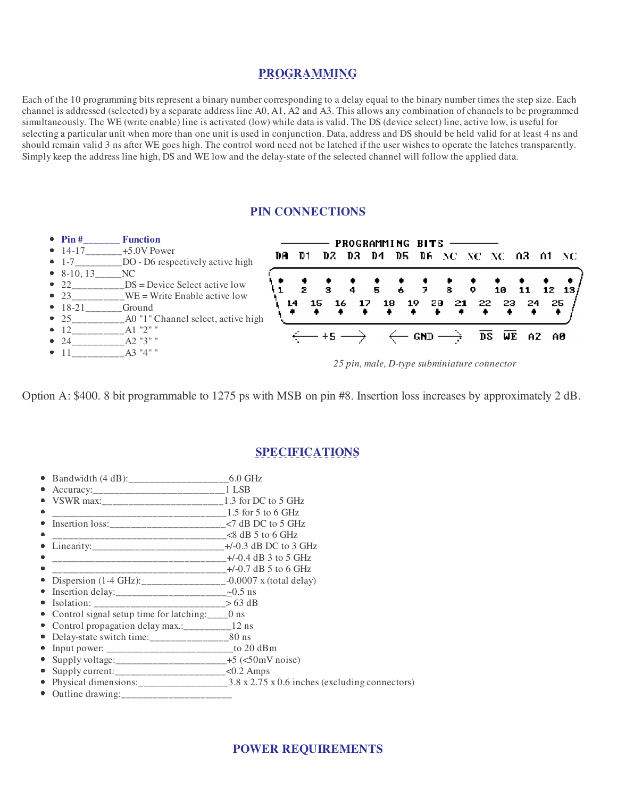### **PROGRAMMING**

Each of the 10 programming bits represent a binary number corresponding to a delay equal to the binary number times the step size. Each channel is addressed (selected) by a separate address line A0, A1, A2 and A3. This allows any combination of channels to be programmed simultaneously. The WE (write enable) line is activated (low) while data is valid. The DS (device select) line, active low, is useful for selecting a particular unit when more than one unit is used in conjunction. Data, address and DS should be held valid for at least 4 ns and should remain valid 3 ns after WE goes high. The control word need not be latched if the user wishes to operate the latches transparently. Simply keep the address line high, DS and WE low and the delay-state of the selected channel will follow the applied data.

#### **PIN CONNECTIONS**



*25 pin, male, D-type subminiature connector*

Option A: \$400. 8 bit programmable to 1275 ps with MSB on pin #8. Insertion loss increases by approximately 2 dB.

#### **SPECIFICATIONS**

- Bandwidth (4 dB):\_\_\_\_\_\_\_\_\_\_\_\_\_\_\_\_\_\_\_6.0 GHz ۰
- $\bullet$ Accuracy:\_\_\_\_\_\_\_\_\_\_\_\_\_\_\_\_\_\_\_\_\_\_\_\_\_1 LSB
- VSWR max:\_\_\_\_\_\_\_\_\_\_\_\_\_\_\_\_\_\_\_\_\_\_\_1.3 for DC to 5 GHz ė
- \_\_\_\_\_\_\_\_\_\_\_\_\_\_\_\_\_\_\_\_\_\_\_\_\_\_\_\_\_\_\_\_\_1.5 for 5 to 6 GHz e
- Insertion loss:\_\_\_\_\_\_\_\_\_\_\_\_\_\_\_\_\_\_\_\_\_\_<7 dB DC to 5 GHz ö
- \_\_\_\_\_\_\_\_\_\_\_\_\_\_\_\_\_\_\_\_\_\_\_\_\_\_\_\_\_\_\_\_\_<8 dB 5 to 6 GHz
- Linearity:\_\_\_\_\_\_\_\_\_\_\_\_\_\_\_\_\_\_\_\_\_\_\_\_\_+/-0.3 dB DC to 3 GHz
- \_\_\_\_\_\_\_\_\_\_\_\_\_\_\_\_\_\_\_\_\_\_\_\_\_\_\_\_\_\_\_\_\_+/-0.4 dB 3 to 5 GHz  $\bullet$ \_\_\_\_\_\_\_\_\_\_\_\_\_\_\_\_\_\_\_\_\_\_\_\_\_\_\_\_\_\_\_\_\_+/-0.7 dB 5 to 6 GHz ö
- ė Dispersion (1-4 GHz): \_\_\_\_\_\_\_\_\_\_\_\_\_\_\_\_\_\_-0.0007 x (total delay)
- $\bullet$ Insertion delay: $\frac{20.5 \text{ ns}}{20.5 \text{ ns}}$
- m.  $Isolation:$   $2$   $\rightarrow$  63 dB
- Control signal setup time for latching:\_\_\_\_0 ns ò
- Control propagation delay max.:\_\_\_\_\_\_\_\_\_12 ns
- Delay-state switch time: \_\_\_\_\_\_\_\_\_\_\_\_\_\_\_\_\_\_\_\_\_80 ns
- Input power: \_\_\_\_\_\_\_\_\_\_\_\_\_\_\_\_\_\_\_\_\_\_\_\_to 20 dBm
- Supply voltage:\_\_\_\_\_\_\_\_\_\_\_\_\_\_\_\_\_\_\_\_\_+5 (<50mV noise) O.
- Supply current:\_\_\_\_\_\_\_\_\_\_\_\_\_\_\_\_\_\_\_\_\_<0.2 Amps  $\blacksquare$
- Physical dimensions: 2.8 x 2.75 x 0.6 inches (excluding connectors)  $\blacksquare$
- $\bullet$  Outline drawing: